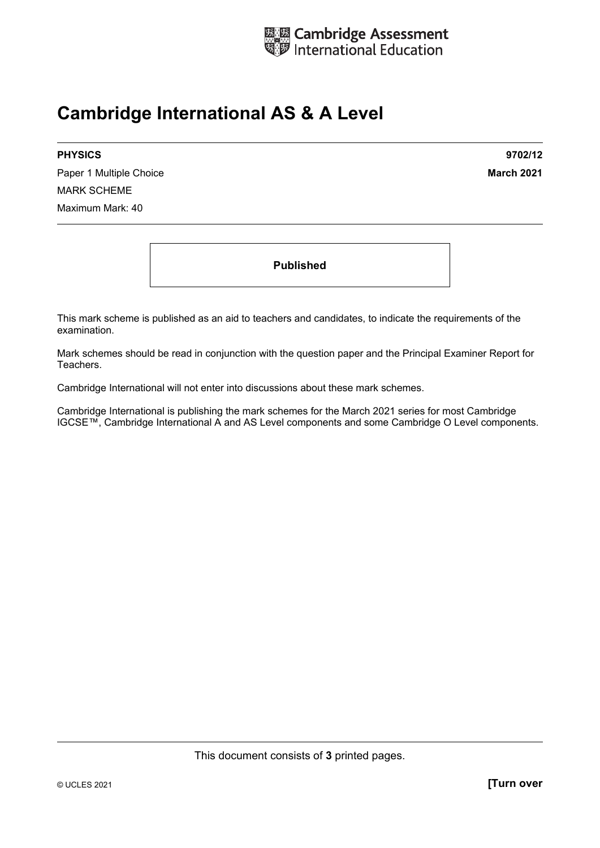

## **Cambridge International AS & A Level**

Paper 1 Multiple Choice **March 2021 March 2021** MARK SCHEME Maximum Mark: 40

**PHYSICS 9702/12** 

**Published** 

This mark scheme is published as an aid to teachers and candidates, to indicate the requirements of the examination.

Mark schemes should be read in conjunction with the question paper and the Principal Examiner Report for Teachers.

Cambridge International will not enter into discussions about these mark schemes.

Cambridge International is publishing the mark schemes for the March 2021 series for most Cambridge IGCSE™, Cambridge International A and AS Level components and some Cambridge O Level components.

This document consists of **3** printed pages.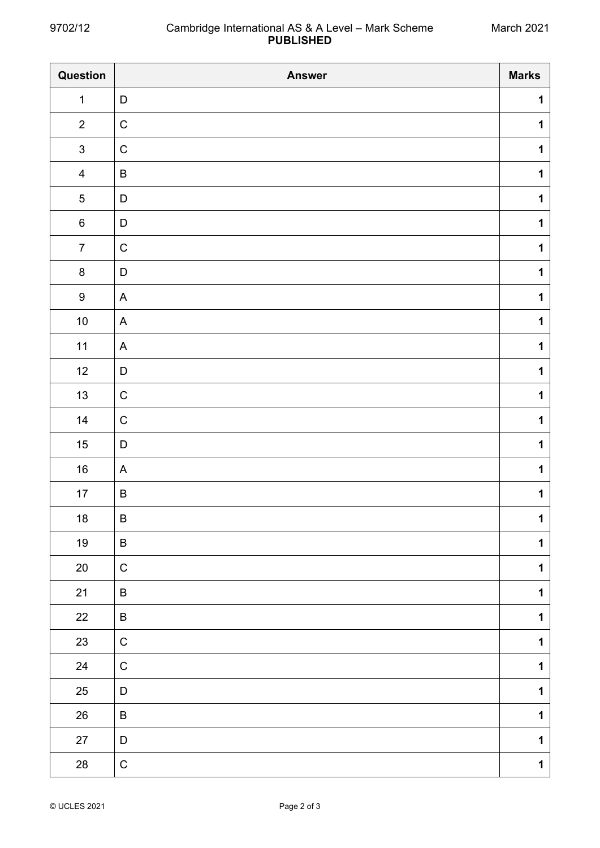$\overline{\phantom{a}}$ 

| Question         | <b>Answer</b> | <b>Marks</b> |
|------------------|---------------|--------------|
| $\mathbf{1}$     | $\mathsf D$   | $\mathbf 1$  |
| $\overline{2}$   | ${\bf C}$     | 1            |
| $\sqrt{3}$       | ${\bf C}$     | $\mathbf 1$  |
| $\overline{4}$   | $\sf B$       | $\mathbf 1$  |
| $\sqrt{5}$       | $\mathsf D$   | $\mathbf 1$  |
| $\,6\,$          | $\mathsf D$   | $\mathbf 1$  |
| $\overline{7}$   | ${\bf C}$     | $\mathbf 1$  |
| $\bf 8$          | $\mathsf D$   | $\mathbf 1$  |
| $\boldsymbol{9}$ | $\mathsf{A}$  | $\mathbf 1$  |
| $10\,$           | $\mathsf{A}$  | $\mathbf 1$  |
| 11               | $\mathsf{A}$  | $\mathbf 1$  |
| 12               | $\mathsf D$   | $\mathbf 1$  |
| 13               | ${\bf C}$     | $\mathbf 1$  |
| 14               | ${\bf C}$     | $\mathbf 1$  |
| $15\,$           | $\mathsf D$   | $\mathbf 1$  |
| $16\,$           | $\mathsf{A}$  | $\mathbf 1$  |
| 17               | $\sf B$       | $\mathbf 1$  |
| $18\,$           | $\sf B$       | $\mathbf 1$  |
| 19               | B             | $\mathbf{1}$ |
| $20\,$           | ${\bf C}$     | $\mathbf 1$  |
| 21               | $\sf B$       | $\mathbf 1$  |
| 22               | $\sf B$       | $\mathbf 1$  |
| 23               | $\mathbf C$   | $\mathbf 1$  |
| 24               | ${\bf C}$     | $\mathbf 1$  |
| 25               | $\mathsf D$   | $\mathbf 1$  |
| 26               | $\sf B$       | $\mathbf 1$  |
| $27\,$           | $\mathsf D$   | $\mathbf 1$  |
| 28               | ${\bf C}$     | $\mathbf 1$  |